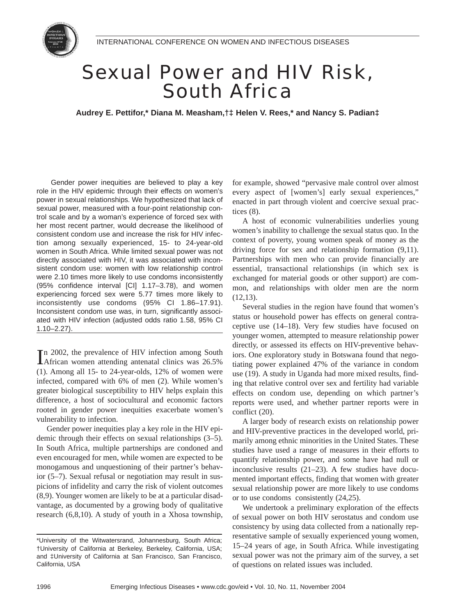

# Sexual Power and HIV Risk, South Africa

**Audrey E. Pettifor,\* Diana M. Measham,†‡ Helen V. Rees,\* and Nancy S. Padian‡**

Gender power inequities are believed to play a key role in the HIV epidemic through their effects on women's power in sexual relationships. We hypothesized that lack of sexual power, measured with a four-point relationship control scale and by a woman's experience of forced sex with her most recent partner, would decrease the likelihood of consistent condom use and increase the risk for HIV infection among sexually experienced, 15- to 24-year-old women in South Africa. While limited sexual power was not directly associated with HIV, it was associated with inconsistent condom use: women with low relationship control were 2.10 times more likely to use condoms inconsistently (95% confidence interval [CI] 1.17–3.78), and women experiencing forced sex were 5.77 times more likely to inconsistently use condoms (95% CI 1.86–17.91). Inconsistent condom use was, in turn, significantly associated with HIV infection (adjusted odds ratio 1.58, 95% CI 1.10–2.27).

In 2002, the prevalence of HIV infection among South<br>African women attending antenatal clinics was 26.5% n 2002, the prevalence of HIV infection among South (1). Among all 15- to 24-year-olds, 12% of women were infected, compared with 6% of men (2). While women's greater biological susceptibility to HIV helps explain this difference, a host of sociocultural and economic factors rooted in gender power inequities exacerbate women's vulnerability to infection.

Gender power inequities play a key role in the HIV epidemic through their effects on sexual relationships (3–5). In South Africa, multiple partnerships are condoned and even encouraged for men, while women are expected to be monogamous and unquestioning of their partner's behavior (5–7). Sexual refusal or negotiation may result in suspicions of infidelity and carry the risk of violent outcomes (8,9). Younger women are likely to be at a particular disadvantage, as documented by a growing body of qualitative research (6,8,10). A study of youth in a Xhosa township,

for example, showed "pervasive male control over almost every aspect of [women's] early sexual experiences," enacted in part through violent and coercive sexual practices (8).

A host of economic vulnerabilities underlies young women's inability to challenge the sexual status quo. In the context of poverty, young women speak of money as the driving force for sex and relationship formation (9,11). Partnerships with men who can provide financially are essential, transactional relationships (in which sex is exchanged for material goods or other support) are common, and relationships with older men are the norm (12,13).

Several studies in the region have found that women's status or household power has effects on general contraceptive use (14–18). Very few studies have focused on younger women, attempted to measure relationship power directly, or assessed its effects on HIV-preventive behaviors. One exploratory study in Botswana found that negotiating power explained 47% of the variance in condom use (19). A study in Uganda had more mixed results, finding that relative control over sex and fertility had variable effects on condom use, depending on which partner's reports were used, and whether partner reports were in conflict (20).

A larger body of research exists on relationship power and HIV-preventive practices in the developed world, primarily among ethnic minorities in the United States. These studies have used a range of measures in their efforts to quantify relationship power, and some have had null or inconclusive results (21–23). A few studies have documented important effects, finding that women with greater sexual relationship power are more likely to use condoms or to use condoms consistently (24,25).

We undertook a preliminary exploration of the effects of sexual power on both HIV serostatus and condom use consistency by using data collected from a nationally representative sample of sexually experienced young women, 15–24 years of age, in South Africa. While investigating sexual power was not the primary aim of the survey, a set of questions on related issues was included.

<sup>\*</sup>University of the Witwatersrand, Johannesburg, South Africa; †University of California at Berkeley, Berkeley, California, USA; and ‡University of California at San Francisco, San Francisco, California, USA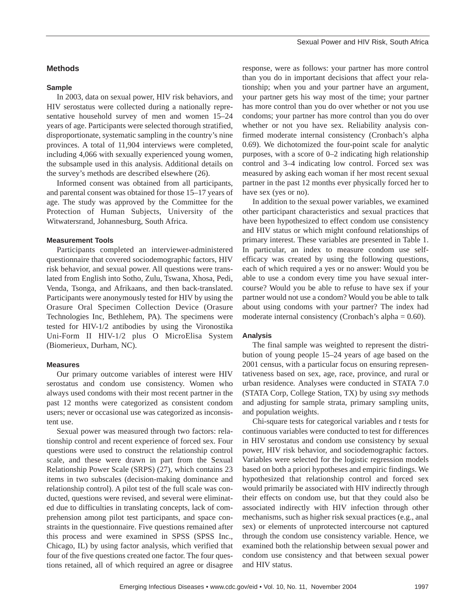#### **Methods**

#### **Sample**

In 2003, data on sexual power, HIV risk behaviors, and HIV serostatus were collected during a nationally representative household survey of men and women 15–24 years of age. Participants were selected thorough stratified, disproportionate, systematic sampling in the country's nine provinces. A total of 11,904 interviews were completed, including 4,066 with sexually experienced young women, the subsample used in this analysis. Additional details on the survey's methods are described elsewhere (26).

Informed consent was obtained from all participants, and parental consent was obtained for those 15–17 years of age. The study was approved by the Committee for the Protection of Human Subjects, University of the Witwatersrand, Johannesburg, South Africa.

#### **Measurement Tools**

Participants completed an interviewer-administered questionnaire that covered sociodemographic factors, HIV risk behavior, and sexual power. All questions were translated from English into Sotho, Zulu, Tswana, Xhosa, Pedi, Venda, Tsonga, and Afrikaans, and then back-translated. Participants were anonymously tested for HIV by using the Orasure Oral Specimen Collection Device (Orasure Technologies Inc, Bethlehem, PA). The specimens were tested for HIV-1/2 antibodies by using the Vironostika Uni-Form II HIV-1/2 plus O MicroElisa System (Biomerieux, Durham, NC).

#### **Measures**

Our primary outcome variables of interest were HIV serostatus and condom use consistency. Women who always used condoms with their most recent partner in the past 12 months were categorized as consistent condom users; never or occasional use was categorized as inconsistent use.

Sexual power was measured through two factors: relationship control and recent experience of forced sex. Four questions were used to construct the relationship control scale, and these were drawn in part from the Sexual Relationship Power Scale (SRPS) (27), which contains 23 items in two subscales (decision-making dominance and relationship control). A pilot test of the full scale was conducted, questions were revised, and several were eliminated due to difficulties in translating concepts, lack of comprehension among pilot test participants, and space constraints in the questionnaire. Five questions remained after this process and were examined in SPSS (SPSS Inc., Chicago, IL) by using factor analysis, which verified that four of the five questions created one factor. The four questions retained, all of which required an agree or disagree

response, were as follows: your partner has more control than you do in important decisions that affect your relationship; when you and your partner have an argument, your partner gets his way most of the time; your partner has more control than you do over whether or not you use condoms; your partner has more control than you do over whether or not you have sex. Reliability analysis confirmed moderate internal consistency (Cronbach's alpha 0.69). We dichotomized the four-point scale for analytic purposes, with a score of 0–2 indicating high relationship control and 3–4 indicating low control. Forced sex was measured by asking each woman if her most recent sexual partner in the past 12 months ever physically forced her to have sex (yes or no).

In addition to the sexual power variables, we examined other participant characteristics and sexual practices that have been hypothesized to effect condom use consistency and HIV status or which might confound relationships of primary interest. These variables are presented in Table 1. In particular, an index to measure condom use selfefficacy was created by using the following questions, each of which required a yes or no answer: Would you be able to use a condom every time you have sexual intercourse? Would you be able to refuse to have sex if your partner would not use a condom? Would you be able to talk about using condoms with your partner? The index had moderate internal consistency (Cronbach's alpha  $= 0.60$ ).

#### **Analysis**

The final sample was weighted to represent the distribution of young people 15–24 years of age based on the 2001 census, with a particular focus on ensuring representativeness based on sex, age, race, province, and rural or urban residence*.* Analyses were conducted in STATA 7.0 (STATA Corp, College Station, TX) by using *svy* methods and adjusting for sample strata, primary sampling units, and population weights.

Chi-square tests for categorical variables and *t* tests for continuous variables were conducted to test for differences in HIV serostatus and condom use consistency by sexual power, HIV risk behavior, and sociodemographic factors. Variables were selected for the logistic regression models based on both a priori hypotheses and empiric findings. We hypothesized that relationship control and forced sex would primarily be associated with HIV indirectly through their effects on condom use, but that they could also be associated indirectly with HIV infection through other mechanisms, such as higher risk sexual practices (e.g., anal sex) or elements of unprotected intercourse not captured through the condom use consistency variable. Hence, we examined both the relationship between sexual power and condom use consistency and that between sexual power and HIV status.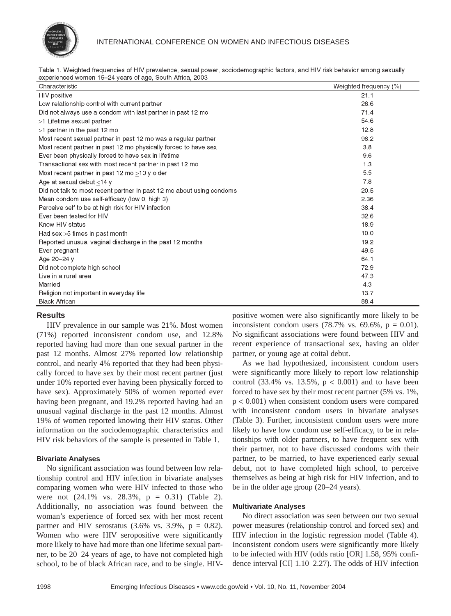

#### INTERNATIONAL CONFERENCE ON WOMEN AND INFECTIOUS DISEASES

Table 1. Weighted frequencies of HIV prevalence, sexual power, sociodemographic factors, and HIV risk behavior among sexually experienced women 15-24 vears of age. South Africa, 2003

| Characteristic                                                        | Weighted frequency (%) |
|-----------------------------------------------------------------------|------------------------|
| <b>HIV</b> positive                                                   | 21.1                   |
| Low relationship control with current partner                         | 26.6                   |
| Did not always use a condom with last partner in past 12 mo           | 71.4                   |
| >1 Lifetime sexual partner                                            | 54.6                   |
| >1 partner in the past 12 mo                                          | 12.8                   |
| Most recent sexual partner in past 12 mo was a regular partner        | 98.2                   |
| Most recent partner in past 12 mo physically forced to have sex       | 3.8                    |
| Ever been physically forced to have sex in lifetime                   | 9.6                    |
| Transactional sex with most recent partner in past 12 mo              | 1.3                    |
| Most recent partner in past 12 mo >10 y older                         | 5.5                    |
| Age at sexual debut <14 y                                             | 7.8                    |
| Did not talk to most recent partner in past 12 mo about using condoms | 20.5                   |
| Mean condom use self-efficacy (low 0, high 3)                         | 2.36                   |
| Perceive self to be at high risk for HIV infection                    | 38.4                   |
| Ever been tested for HIV                                              | 32.6                   |
| Know HIV status                                                       | 18.9                   |
| Had sex >5 times in past month                                        | 10.0                   |
| Reported unusual vaginal discharge in the past 12 months              | 19.2                   |
| Ever pregnant                                                         | 49.5                   |
| Age 20-24 y                                                           | 64.1                   |
| Did not complete high school                                          | 72.9                   |
| Live in a rural area                                                  | 47.3                   |
| Married                                                               | 4.3                    |
| Religion not important in everyday life                               | 13.7                   |
| <b>Black African</b>                                                  | 88.4                   |

# **Results**

HIV prevalence in our sample was 21%. Most women (71%) reported inconsistent condom use, and 12.8% reported having had more than one sexual partner in the past 12 months. Almost 27% reported low relationship control, and nearly 4% reported that they had been physically forced to have sex by their most recent partner (just under 10% reported ever having been physically forced to have sex). Approximately 50% of women reported ever having been pregnant, and 19.2% reported having had an unusual vaginal discharge in the past 12 months. Almost 19% of women reported knowing their HIV status. Other information on the sociodemographic characteristics and HIV risk behaviors of the sample is presented in Table 1.

# **Bivariate Analyses**

No significant association was found between low relationship control and HIV infection in bivariate analyses comparing women who were HIV infected to those who were not (24.1% vs. 28.3%, p = 0.31) (Table 2). Additionally, no association was found between the woman's experience of forced sex with her most recent partner and HIV serostatus  $(3.6\% \text{ vs. } 3.9\%, \text{ p} = 0.82)$ . Women who were HIV seropositive were significantly more likely to have had more than one lifetime sexual partner, to be 20–24 years of age, to have not completed high school, to be of black African race, and to be single. HIV-

positive women were also significantly more likely to be inconsistent condom users  $(78.7\% \text{ vs. } 69.6\%, \text{ p} = 0.01)$ . No significant associations were found between HIV and recent experience of transactional sex, having an older partner, or young age at coital debut.

As we had hypothesized, inconsistent condom users were significantly more likely to report low relationship control (33.4% vs. 13.5%,  $p < 0.001$ ) and to have been forced to have sex by their most recent partner (5% vs. 1%, p < 0.001) when consistent condom users were compared with inconsistent condom users in bivariate analyses (Table 3). Further, inconsistent condom users were more likely to have low condom use self-efficacy, to be in relationships with older partners, to have frequent sex with their partner, not to have discussed condoms with their partner, to be married, to have experienced early sexual debut, not to have completed high school, to perceive themselves as being at high risk for HIV infection, and to be in the older age group (20–24 years).

#### **Multivariate Analyses**

No direct association was seen between our two sexual power measures (relationship control and forced sex) and HIV infection in the logistic regression model (Table 4). Inconsistent condom users were significantly more likely to be infected with HIV (odds ratio [OR] 1.58, 95% confidence interval [CI] 1.10–2.27). The odds of HIV infection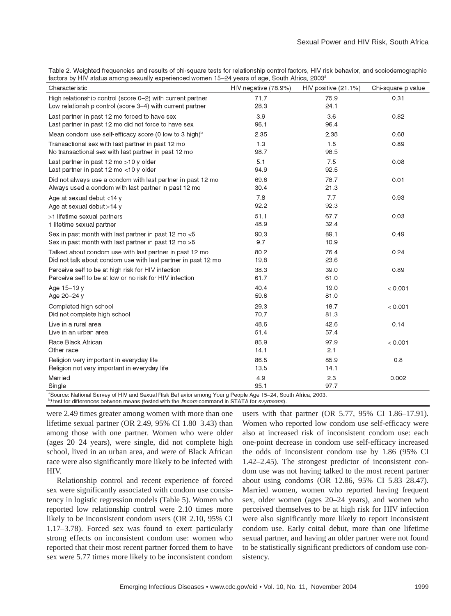| Characteristic                                                                                                                             | HIV negative (78.9%) | HIV positive (21.1%) | Chi-square p value |
|--------------------------------------------------------------------------------------------------------------------------------------------|----------------------|----------------------|--------------------|
| High relationship control (score 0-2) with current partner                                                                                 | 71.7                 | 75.9                 | 0.31               |
| Low relationship control (score 3-4) with current partner                                                                                  | 28.3                 | 24.1                 |                    |
| Last partner in past 12 mo forced to have sex                                                                                              | 3.9                  | 3.6                  | 0.82               |
| Last partner in past 12 mo did not force to have sex                                                                                       | 96.1                 | 96.4                 |                    |
| Mean condom use self-efficacy score (0 low to 3 high) <sup>b</sup>                                                                         | 2.35                 | 2.38                 | 0.68               |
| Transactional sex with last partner in past 12 mo                                                                                          | 1.3                  | 1.5                  | 0.89               |
| No transactional sex with last partner in past 12 mo                                                                                       | 98.7                 | 98.5                 |                    |
| Last partner in past 12 mo >10 y older                                                                                                     | 5.1                  | 7.5                  | 0.08               |
| Last partner in past 12 mo <10 y older                                                                                                     | 94.9                 | 92.5                 |                    |
| Did not always use a condom with last partner in past 12 mo                                                                                | 69.6                 | 78.7                 | 0.01               |
| Always used a condom with last partner in past 12 mo                                                                                       | 30.4                 | 21.3                 |                    |
| Age at sexual debut $<$ 14 y                                                                                                               | 7.8                  | 7.7                  | 0.93               |
| Age at sexual debut > 14 y                                                                                                                 | 92.2                 | 92.3                 |                    |
| >1 lifetime sexual partners                                                                                                                | 51.1                 | 67.7                 | 0.03               |
| 1 lifetime sexual partner                                                                                                                  | 48.9                 | 32.4                 |                    |
| Sex in past month with last partner in past 12 mo $\leq 5$                                                                                 | 90.3                 | 89.1                 | 0.49               |
| Sex in past month with last partner in past 12 mo >5                                                                                       | 9.7                  | 10.9                 |                    |
| Talked about condom use with last partner in past 12 mo                                                                                    | 80.2                 | 76.4                 | 0.24               |
| Did not talk about condom use with last partner in past 12 mo                                                                              | 19.8                 | 23.6                 |                    |
| Perceive self to be at high risk for HIV infection                                                                                         | 38.3                 | 39.0                 | 0.89               |
| Perceive self to be at low or no risk for HIV infection                                                                                    | 61.7                 | 61.0                 |                    |
| Age 15-19 y                                                                                                                                | 40.4                 | 19.0                 | < 0.001            |
| Age 20-24 y                                                                                                                                | 59.6                 | 81.0                 |                    |
| Completed high school                                                                                                                      | 29.3                 | 18.7                 | < 0.001            |
| Did not complete high school                                                                                                               | 70.7                 | 81.3                 |                    |
| Live in a rural area                                                                                                                       | 48.6                 | 42.6                 | 0.14               |
| Live in an urban area                                                                                                                      | 51.4                 | 57.4                 |                    |
| Race Black African                                                                                                                         | 85.9                 | 97.9                 | < 0.001            |
| Other race                                                                                                                                 | 14.1                 | 2.1                  |                    |
| Religion very important in everyday life                                                                                                   | 86.5                 | 85.9                 | 0.8                |
| Religion not very important in everyday life                                                                                               | 13.5                 | 14.1                 |                    |
| Married<br>Single<br><sup>a</sup> Source: National Survey of HIV and Sexual Risk Behavior among Young People Age 15–24. South Africa, 2003 | 4.9<br>95.1          | 2.3<br>97.7          | 0.002              |

Table 2. Weighted frequencies and results of chi-square tests for relationship control factors. HIV risk behavior, and sociodemographic factors by HIV status among sexually experienced women 15-24 years of age, South Africa, 2003<sup>a</sup>

<sup>b</sup>t test for differences between means (tested with the lincom command in STATA for svymeans).

were 2.49 times greater among women with more than one lifetime sexual partner (OR 2.49, 95% CI 1.80–3.43) than among those with one partner. Women who were older (ages 20–24 years), were single, did not complete high school, lived in an urban area, and were of Black African race were also significantly more likely to be infected with HIV.

Relationship control and recent experience of forced sex were significantly associated with condom use consistency in logistic regression models (Table 5). Women who reported low relationship control were 2.10 times more likely to be inconsistent condom users (OR 2.10, 95% CI 1.17–3.78). Forced sex was found to exert particularly strong effects on inconsistent condom use: women who reported that their most recent partner forced them to have sex were 5.77 times more likely to be inconsistent condom

users with that partner (OR 5.77, 95% CI 1.86–17.91). Women who reported low condom use self-efficacy were also at increased risk of inconsistent condom use: each one-point decrease in condom use self-efficacy increased the odds of inconsistent condom use by 1.86 (95% CI 1.42–2.45). The strongest predictor of inconsistent condom use was not having talked to the most recent partner about using condoms (OR 12.86, 95% CI 5.83–28.47). Married women, women who reported having frequent sex, older women (ages 20–24 years), and women who perceived themselves to be at high risk for HIV infection were also significantly more likely to report inconsistent condom use. Early coital debut, more than one lifetime sexual partner, and having an older partner were not found to be statistically significant predictors of condom use consistency.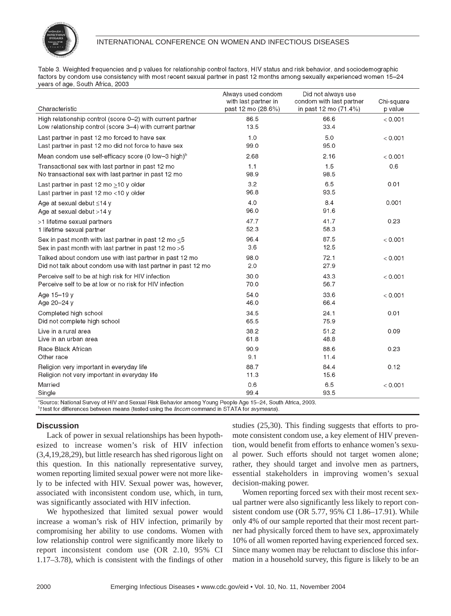

#### INTERNATIONAL CONFERENCE ON WOMEN AND INFECTIOUS DISEASES

Table 3. Weighted frequencies and p values for relationship control factors, HIV status and risk behavior, and sociodemographic factors by condom use consistency with most recent sexual partner in past 12 months among sexually experienced women 15-24 years of age, South Africa, 2003

|                                                                                                                                            | Always used condom<br>with last partner in | Did not always use<br>condom with last partner | Chi-square |
|--------------------------------------------------------------------------------------------------------------------------------------------|--------------------------------------------|------------------------------------------------|------------|
| Characteristic                                                                                                                             | past 12 mo (28.6%)                         | in past 12 mo (71.4%)                          | p value    |
| High relationship control (score 0-2) with current partner                                                                                 | 86.5                                       | 66.6                                           | < 0.001    |
| Low relationship control (score 3-4) with current partner                                                                                  | 13.5                                       | 33.4                                           |            |
| Last partner in past 12 mo forced to have sex                                                                                              | 1.0                                        | 5.0                                            | < 0.001    |
| Last partner in past 12 mo did not force to have sex                                                                                       | 99.0                                       | 95.0                                           |            |
| Mean condom use self-efficacy score (0 low-3 high) <sup>b</sup>                                                                            | 2.68                                       | 2.16                                           | < 0.001    |
| Transactional sex with last partner in past 12 mo                                                                                          | 1.1                                        | 1.5                                            | 0.6        |
| No transactional sex with last partner in past 12 mo                                                                                       | 98.9                                       | 98.5                                           |            |
| Last partner in past 12 mo $>10$ y older                                                                                                   | 3.2                                        | 6.5                                            | 0.01       |
| Last partner in past 12 mo <10 y older                                                                                                     | 96.8                                       | 93.5                                           |            |
| Age at sexual debut $\leq$ 14 y                                                                                                            | 4.0                                        | 8.4                                            | 0.001      |
| Age at sexual debut >14 y                                                                                                                  | 96.0                                       | 91.6                                           |            |
| >1 lifetime sexual partners                                                                                                                | 47.7                                       | 41.7                                           | 0.23       |
| 1 lifetime sexual partner                                                                                                                  | 52.3                                       | 58.3                                           |            |
| Sex in past month with last partner in past 12 mo <5                                                                                       | 96.4                                       | 87.5                                           | < 0.001    |
| Sex in past month with last partner in past 12 mo > 5                                                                                      | 3.6                                        | 12.5                                           |            |
| Talked about condom use with last partner in past 12 mo                                                                                    | 98.0                                       | 72.1                                           | < 0.001    |
| Did not talk about condom use with last partner in past 12 mo                                                                              | 2.0                                        | 27.9                                           |            |
| Perceive self to be at high risk for HIV infection                                                                                         | 30.0                                       | 43.3                                           | < 0.001    |
| Perceive self to be at low or no risk for HIV infection                                                                                    | 70.0                                       | 56.7                                           |            |
| Age 15-19 y                                                                                                                                | 54.0                                       | 33.6                                           | < 0.001    |
| Age 20-24 y                                                                                                                                | 46.0                                       | 66.4                                           |            |
| Completed high school                                                                                                                      | 34.5                                       | 24.1                                           | 0.01       |
| Did not complete high school                                                                                                               | 65.5                                       | 75.9                                           |            |
| Live in a rural area                                                                                                                       | 38.2                                       | 51.2                                           | 0.09       |
| Live in an urban area                                                                                                                      | 61.8                                       | 48.8                                           |            |
| Race Black African                                                                                                                         | 90.9                                       | 88.6                                           | 0.23       |
| Other race                                                                                                                                 | 9.1                                        | 11.4                                           |            |
| Religion very important in everyday life                                                                                                   | 88.7                                       | 84.4                                           | 0.12       |
| Religion not very important in everyday life                                                                                               | 11.3                                       | 15.6                                           |            |
| Married<br>Single<br><sup>a</sup> Source: National Sunrey of HIV and Sexual Pick Rebayier among Young People Age 15-24. South Africa, 2003 | 0.6<br>99.4                                | 6.5<br>93.5                                    | < 0.001    |

<sup>b</sup>t test for differences between means (tested using the *lincom* command in STATA for *svymeans*).

# **Discussion**

Lack of power in sexual relationships has been hypothesized to increase women's risk of HIV infection (3,4,19,28,29), but little research has shed rigorous light on this question. In this nationally representative survey, women reporting limited sexual power were not more likely to be infected with HIV. Sexual power was, however, associated with inconsistent condom use, which, in turn, was significantly associated with HIV infection.

We hypothesized that limited sexual power would increase a woman's risk of HIV infection, primarily by compromising her ability to use condoms. Women with low relationship control were significantly more likely to report inconsistent condom use (OR 2.10, 95% CI 1.17–3.78), which is consistent with the findings of other

studies (25,30). This finding suggests that efforts to promote consistent condom use, a key element of HIV prevention, would benefit from efforts to enhance women's sexual power. Such efforts should not target women alone; rather, they should target and involve men as partners, essential stakeholders in improving women's sexual decision-making power.

Women reporting forced sex with their most recent sexual partner were also significantly less likely to report consistent condom use (OR 5.77, 95% CI 1.86–17.91). While only 4% of our sample reported that their most recent partner had physically forced them to have sex, approximately 10% of all women reported having experienced forced sex. Since many women may be reluctant to disclose this information in a household survey, this figure is likely to be an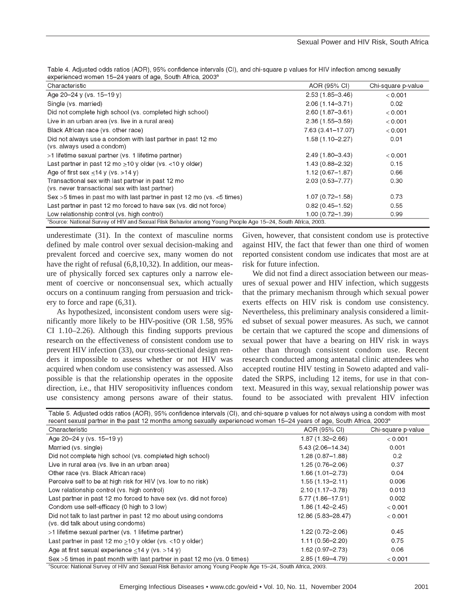| $\frac{1}{2}$<br>Characteristic                                                                                        | AOR (95% CI)         | Chi-square p-value |  |
|------------------------------------------------------------------------------------------------------------------------|----------------------|--------------------|--|
| Age 20-24 y (vs. 15-19 y)                                                                                              | $2.53(1.85 - 3.46)$  | < 0.001            |  |
| Single (vs. married)                                                                                                   | $2.06(1.14 - 3.71)$  | 0.02               |  |
| Did not complete high school (vs. completed high school)                                                               | $2.60(1.87 - 3.61)$  | < 0.001            |  |
| Live in an urban area (vs. live in a rural area)                                                                       | $2.36(1.55 - 3.59)$  | < 0.001            |  |
| Black African race (vs. other race)                                                                                    | $7.63(3.41 - 17.07)$ | < 0.001            |  |
| Did not always use a condom with last partner in past 12 mo<br>(vs. always used a condom)                              | 1.58 (1.10-2.27)     | 0.01               |  |
| >1 lifetime sexual partner (vs. 1 lifetime partner)                                                                    | $2.49(1.80 - 3.43)$  | < 0.001            |  |
| Last partner in past 12 mo $>10$ y older (vs. $<10$ y older)                                                           | $1.43(0.88 - 2.32)$  | 0.15               |  |
| Age of first sex $<$ 14 y (vs. >14 y)                                                                                  | $1.12(0.67 - 1.87)$  | 0.66               |  |
| Transactional sex with last partner in past 12 mo                                                                      | $2.03(0.53 - 7.77)$  | 0.30               |  |
| (vs. never transactional sex with last partner)                                                                        |                      |                    |  |
| Sex $>5$ times in past mo with last partner in past 12 mo (vs. $<5$ times)                                             | 1.07 (0.72–1.58)     | 0.73               |  |
| Last partner in past 12 mo forced to have sex (vs. did not force)                                                      | $0.82(0.45 - 1.52)$  | 0.55               |  |
| Low relationship control (vs. high control)                                                                            | $1.00(0.72 - 1.39)$  | 0.99               |  |
| <sup>a</sup> Source: National Survey of HIV and Sexual Risk Behavior among Young People Age 15–24, South Africa, 2003. |                      |                    |  |

Table 4. Adjusted odds ratios (AOR), 95% confidence intervals (CI), and chi-square p values for HIV infection among sexually experienced women 15-24 vests of ane South Africa 2003

underestimate (31). In the context of masculine norms defined by male control over sexual decision-making and prevalent forced and coercive sex, many women do not have the right of refusal (6,8,10,32). In addition, our measure of physically forced sex captures only a narrow element of coercive or nonconsensual sex, which actually occurs on a continuum ranging from persuasion and trickery to force and rape (6,31).

As hypothesized, inconsistent condom users were significantly more likely to be HIV-positive (OR 1.58, 95% CI 1.10–2.26). Although this finding supports previous research on the effectiveness of consistent condom use to prevent HIV infection (33), our cross-sectional design renders it impossible to assess whether or not HIV was acquired when condom use consistency was assessed. Also possible is that the relationship operates in the opposite direction, i.e., that HIV seropositivity influences condom use consistency among persons aware of their status. Given, however, that consistent condom use is protective against HIV, the fact that fewer than one third of women reported consistent condom use indicates that most are at risk for future infection.

We did not find a direct association between our measures of sexual power and HIV infection, which suggests that the primary mechanism through which sexual power exerts effects on HIV risk is condom use consistency. Nevertheless, this preliminary analysis considered a limited subset of sexual power measures. As such, we cannot be certain that we captured the scope and dimensions of sexual power that have a bearing on HIV risk in ways other than through consistent condom use. Recent research conducted among antenatal clinic attendees who accepted routine HIV testing in Soweto adapted and validated the SRPS, including 12 items, for use in that context. Measured in this way, sexual relationship power was found to be associated with prevalent HIV infection

| Table 5. Adjusted odds ratios (AOR), 95% confidence intervals (CI), and chi-square p values for not always using a condom with most<br>recent sexual partner in the past 12 months among sexually experienced women 15–24 years of age, South Africa, 2003 <sup>a</sup> |                      |                    |  |
|-------------------------------------------------------------------------------------------------------------------------------------------------------------------------------------------------------------------------------------------------------------------------|----------------------|--------------------|--|
| Characteristic                                                                                                                                                                                                                                                          | AOR (95% CI)         | Chi-square p-value |  |
| Age 20-24 y (vs. 15-19 y)                                                                                                                                                                                                                                               | $1.87(1.32 - 2.66)$  | < 0.001            |  |
| Married (vs. single)                                                                                                                                                                                                                                                    | $5.43(2.06 - 14.34)$ | 0.001              |  |
| Did not complete high school (vs. completed high school)                                                                                                                                                                                                                | $1.28(0.87 - 1.88)$  | 0.2                |  |
| Live in rural area (vs. live in an urban area)                                                                                                                                                                                                                          | 1.25 (0.76-2.06)     | 0.37               |  |
| Other race (vs. Black African race)                                                                                                                                                                                                                                     | $1.66(1.01 - 2.73)$  | 0.04               |  |
| Perceive self to be at high risk for HIV (vs. low to no risk)                                                                                                                                                                                                           | $1.55(1.13 - 2.11)$  | 0.006              |  |
| Low relationship control (vs. high control)                                                                                                                                                                                                                             | $2.10(1.17 - 3.78)$  | 0.013              |  |
| Last partner in past 12 mo forced to have sex (vs. did not force)                                                                                                                                                                                                       | 5.77 (1.86-17.91)    | 0.002              |  |
| Condom use self-efficacy (0 high to 3 low)                                                                                                                                                                                                                              | 1.86 (1.42-2.45)     | < 0.001            |  |
| Did not talk to last partner in past 12 mo about using condoms<br>(vs. did talk about using condoms)                                                                                                                                                                    | 12.86 (5.83-28.47)   | < 0.001            |  |
| >1 lifetime sexual partner (vs. 1 lifetime partner)                                                                                                                                                                                                                     | 1.22 (0.72-2.06)     | 0.45               |  |
| Last partner in past 12 mo $>10$ y older (vs. $<10$ y older)                                                                                                                                                                                                            | $1.11(0.56 - 2.20)$  | 0.75               |  |
| Age at first sexual experience $<$ 14 y (vs. >14 y)                                                                                                                                                                                                                     | 1.62 (0.97-2.73)     | 0.06               |  |
| Sex >5 times in past month with last partner in past 12 mo (vs. 0 times)                                                                                                                                                                                                | $2.85(1.69 - 4.79)$  | < 0.001            |  |

<sup>a</sup>Source: National Survey of HIV and Sexual Risk Behavior among Young People Age 15-24, South Africa, 2003.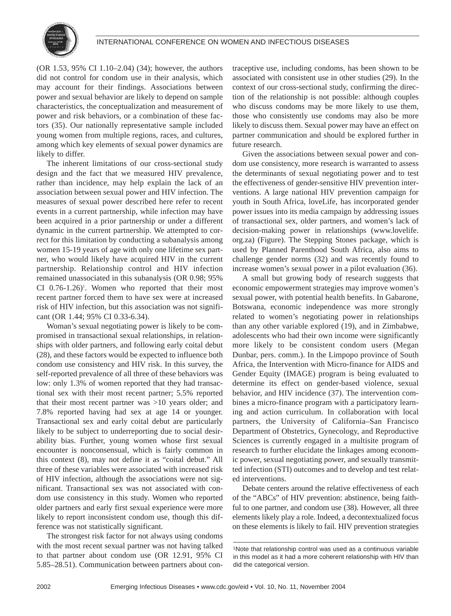

(OR 1.53, 95% CI 1.10–2.04) (34); however, the authors did not control for condom use in their analysis, which may account for their findings. Associations between power and sexual behavior are likely to depend on sample characteristics, the conceptualization and measurement of power and risk behaviors, or a combination of these factors (35). Our nationally representative sample included young women from multiple regions, races, and cultures, among which key elements of sexual power dynamics are likely to differ.

The inherent limitations of our cross-sectional study design and the fact that we measured HIV prevalence, rather than incidence, may help explain the lack of an association between sexual power and HIV infection. The measures of sexual power described here refer to recent events in a current partnership, while infection may have been acquired in a prior partnership or under a different dynamic in the current partnership. We attempted to correct for this limitation by conducting a subanalysis among women 15-19 years of age with only one lifetime sex partner, who would likely have acquired HIV in the current partnership. Relationship control and HIV infection remained unassociated in this subanalysis (OR 0.98; 95% CI  $0.76-1.26$ <sup>1</sup>. Women who reported that their most recent partner forced them to have sex were at increased risk of HIV infection, but this association was not significant (OR 1.44; 95% CI 0.33-6.34).

Woman's sexual negotiating power is likely to be compromised in transactional sexual relationships, in relationships with older partners, and following early coital debut (28), and these factors would be expected to influence both condom use consistency and HIV risk. In this survey, the self-reported prevalence of all three of these behaviors was low: only 1.3% of women reported that they had transactional sex with their most recent partner; 5.5% reported that their most recent partner was >10 years older; and 7.8% reported having had sex at age 14 or younger. Transactional sex and early coital debut are particularly likely to be subject to underreporting due to social desirability bias. Further, young women whose first sexual encounter is nonconsensual, which is fairly common in this context (8), may not define it as "coital debut." All three of these variables were associated with increased risk of HIV infection, although the associations were not significant. Transactional sex was not associated with condom use consistency in this study. Women who reported older partners and early first sexual experience were more likely to report inconsistent condom use, though this difference was not statistically significant.

The strongest risk factor for not always using condoms with the most recent sexual partner was not having talked to that partner about condom use (OR 12.91, 95% CI 5.85–28.51). Communication between partners about contraceptive use, including condoms, has been shown to be associated with consistent use in other studies (29). In the context of our cross-sectional study, confirming the direction of the relationship is not possible: although couples who discuss condoms may be more likely to use them, those who consistently use condoms may also be more likely to discuss them. Sexual power may have an effect on partner communication and should be explored further in future research.

Given the associations between sexual power and condom use consistency, more research is warranted to assess the determinants of sexual negotiating power and to test the effectiveness of gender-sensitive HIV prevention interventions. A large national HIV prevention campaign for youth in South Africa, loveLife, has incorporated gender power issues into its media campaign by addressing issues of transactional sex, older partners, and women's lack of decision-making power in relationships (www.lovelife. org.za) (Figure). The Stepping Stones package, which is used by Planned Parenthood South Africa, also aims to challenge gender norms (32) and was recently found to increase women's sexual power in a pilot evaluation (36).

A small but growing body of research suggests that economic empowerment strategies may improve women's sexual power, with potential health benefits. In Gabarone, Botswana, economic independence was more strongly related to women's negotiating power in relationships than any other variable explored (19), and in Zimbabwe, adolescents who had their own income were significantly more likely to be consistent condom users (Megan Dunbar, pers. comm.). In the Limpopo province of South Africa, the Intervention with Micro-finance for AIDS and Gender Equity (IMAGE) program is being evaluated to determine its effect on gender-based violence, sexual behavior, and HIV incidence (37). The intervention combines a micro-finance program with a participatory learning and action curriculum. In collaboration with local partners, the University of California–San Francisco Department of Obstetrics, Gynecology, and Reproductive Sciences is currently engaged in a multisite program of research to further elucidate the linkages among economic power, sexual negotiating power, and sexually transmitted infection (STI) outcomes and to develop and test related interventions.

Debate centers around the relative effectiveness of each of the "ABCs" of HIV prevention: abstinence, being faithful to one partner, and condom use (38). However, all three elements likely play a role. Indeed, a decontextualized focus on these elements is likely to fail. HIV prevention strategies

<sup>1</sup>Note that relationship control was used as a continuous variable in this model as it had a more coherent relationship with HIV than did the categorical version.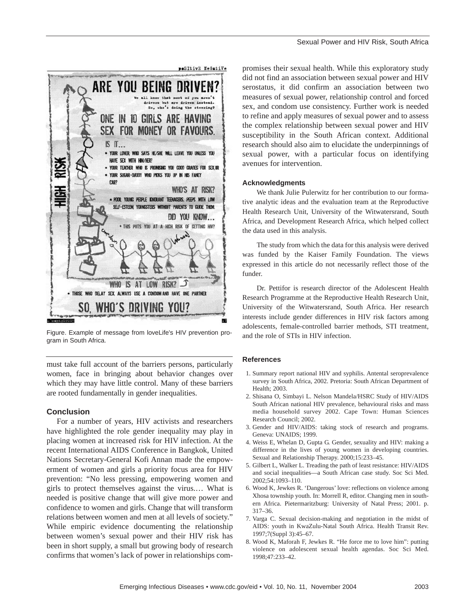

Figure. Example of message from loveLife's HIV prevention program in South Africa.

must take full account of the barriers persons, particularly women, face in bringing about behavior changes over which they may have little control. Many of these barriers are rooted fundamentally in gender inequalities.

#### **Conclusion**

For a number of years, HIV activists and researchers have highlighted the role gender inequality may play in placing women at increased risk for HIV infection. At the recent International AIDS Conference in Bangkok, United Nations Secretary-General Kofi Annan made the empowerment of women and girls a priority focus area for HIV prevention: "No less pressing, empowering women and girls to protect themselves against the virus.… What is needed is positive change that will give more power and confidence to women and girls. Change that will transform relations between women and men at all levels of society." While empiric evidence documenting the relationship between women's sexual power and their HIV risk has been in short supply, a small but growing body of research confirms that women's lack of power in relationships compromises their sexual health. While this exploratory study did not find an association between sexual power and HIV serostatus, it did confirm an association between two measures of sexual power, relationship control and forced sex, and condom use consistency. Further work is needed to refine and apply measures of sexual power and to assess the complex relationship between sexual power and HIV susceptibility in the South African context. Additional research should also aim to elucidate the underpinnings of sexual power, with a particular focus on identifying avenues for intervention.

#### **Acknowledgments**

We thank Julie Pulerwitz for her contribution to our formative analytic ideas and the evaluation team at the Reproductive Health Research Unit, University of the Witwatersrand, South Africa, and Development Research Africa, which helped collect the data used in this analysis.

The study from which the data for this analysis were derived was funded by the Kaiser Family Foundation. The views expressed in this article do not necessarily reflect those of the funder.

Dr. Pettifor is research director of the Adolescent Health Research Programme at the Reproductive Health Research Unit, University of the Witwatersrand, South Africa. Her research interests include gender differences in HIV risk factors among adolescents, female-controlled barrier methods, STI treatment, and the role of STIs in HIV infection.

#### **References**

- 1. Summary report national HIV and syphilis. Antental seroprevalence survey in South Africa, 2002. Pretoria: South African Department of Health; 2003.
- 2. Shisana O, Simbayi L. Nelson Mandela/HSRC Study of HIV/AIDS South African national HIV prevalence, behavioural risks and mass media household survey 2002. Cape Town: Human Sciences Research Council; 2002.
- 3. Gender and HIV/AIDS: taking stock of research and programs. Geneva: UNAIDS; 1999.
- 4. Weiss E, Whelan D, Gupta G. Gender, sexuality and HIV: making a difference in the lives of young women in developing countries. Sexual and Relationship Therapy. 2000;15:233–45.
- 5. Gilbert L, Walker L. Treading the path of least resistance: HIV/AIDS and social inequalities—a South African case study. Soc Sci Med. 2002;54:1093–110.
- 6. Wood K, Jewkes R. 'Dangerous' love: reflections on violence among Xhosa township youth. In: Morrell R, editor. Changing men in southern Africa. Pietermaritzburg: University of Natal Press; 2001. p. 317–36.
- 7. Varga C. Sexual decision-making and negotiation in the midst of AIDS: youth in KwaZulu-Natal South Africa. Health Transit Rev. 1997;7(Suppl 3):45–67.
- 8. Wood K, Maforah F, Jewkes R. "He force me to love him": putting violence on adolescent sexual health agendas. Soc Sci Med. 1998;47:233–42.